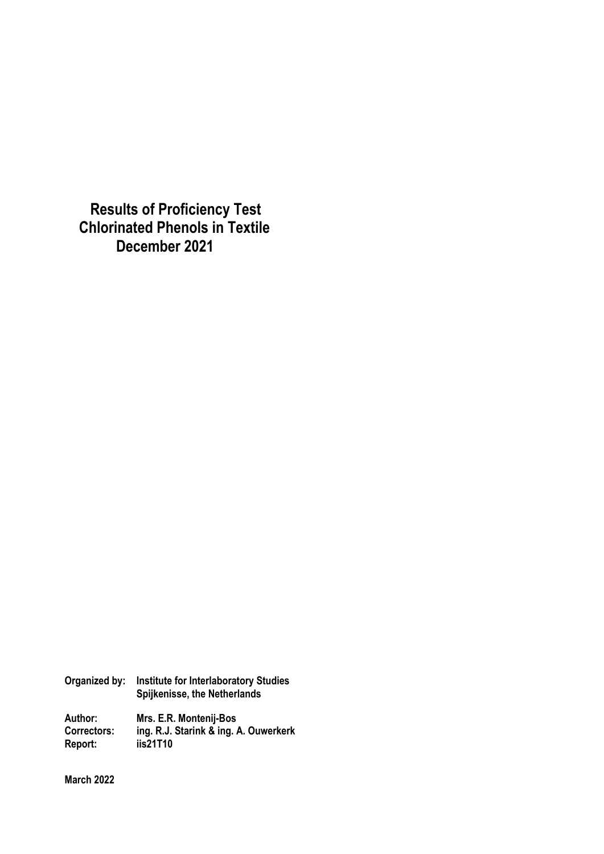**Results of Proficiency Test Chlorinated Phenols in Textile December 2021**

| Organized by:      | <b>Institute for Interlaboratory Studies</b><br>Spijkenisse, the Netherlands |
|--------------------|------------------------------------------------------------------------------|
| Author:            | Mrs. E.R. Montenij-Bos                                                       |
| <b>Correctors:</b> | ing. R.J. Starink & ing. A. Ouwerkerk                                        |
| Report:            | iis21T10                                                                     |

**March 2022**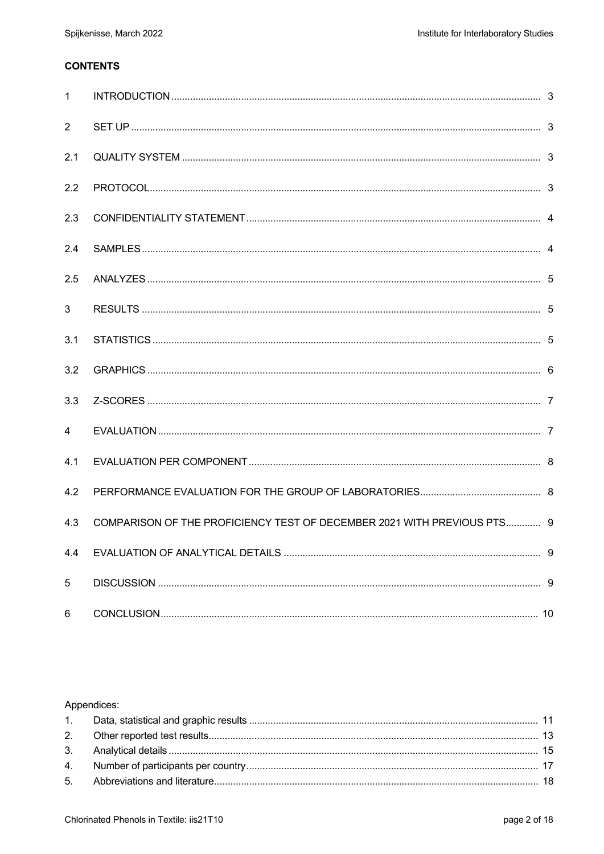# **CONTENTS**

| $\mathbf{1}$   |                                                                         |  |
|----------------|-------------------------------------------------------------------------|--|
| $\overline{2}$ |                                                                         |  |
| 2.1            |                                                                         |  |
| 2.2            |                                                                         |  |
| 2.3            |                                                                         |  |
| 2.4            |                                                                         |  |
| 2.5            |                                                                         |  |
| 3              |                                                                         |  |
| 3.1            |                                                                         |  |
| 3.2            |                                                                         |  |
| 3.3            |                                                                         |  |
| $\overline{4}$ |                                                                         |  |
| 4.1            |                                                                         |  |
| 4.2            |                                                                         |  |
| 4.3            | COMPARISON OF THE PROFICIENCY TEST OF DECEMBER 2021 WITH PREVIOUS PTS 9 |  |
| 4.4            |                                                                         |  |
| 5              |                                                                         |  |
| 6              |                                                                         |  |

### Appendices: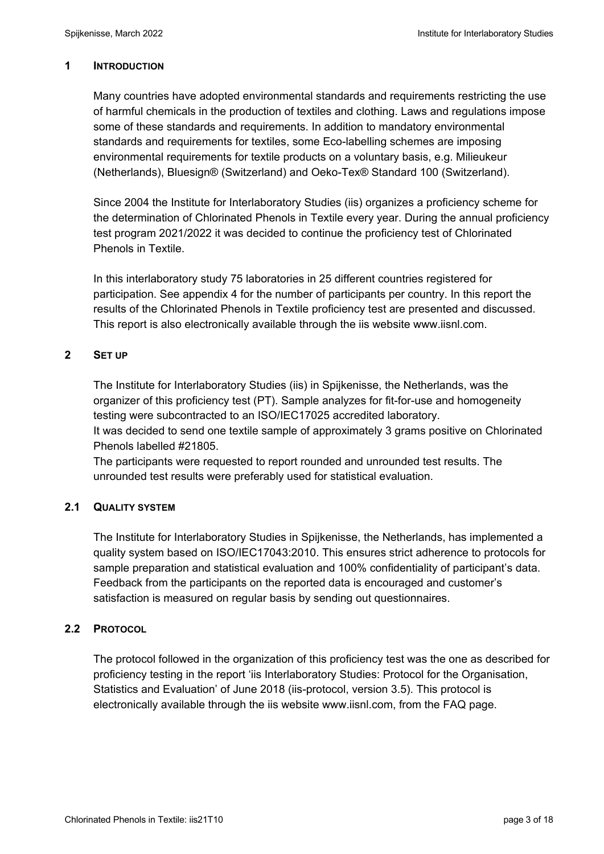### **1 INTRODUCTION**

Many countries have adopted environmental standards and requirements restricting the use of harmful chemicals in the production of textiles and clothing. Laws and regulations impose some of these standards and requirements. In addition to mandatory environmental standards and requirements for textiles, some Eco-labelling schemes are imposing environmental requirements for textile products on a voluntary basis, e.g. Milieukeur (Netherlands), Bluesign® (Switzerland) and Oeko-Tex® Standard 100 (Switzerland).

Since 2004 the Institute for Interlaboratory Studies (iis) organizes a proficiency scheme for the determination of Chlorinated Phenols in Textile every year. During the annual proficiency test program 2021/2022 it was decided to continue the proficiency test of Chlorinated Phenols in Textile.

In this interlaboratory study 75 laboratories in 25 different countries registered for participation. See appendix 4 for the number of participants per country. In this report the results of the Chlorinated Phenols in Textile proficiency test are presented and discussed. This report is also electronically available through the iis website www.iisnl.com.

# **2 SET UP**

The Institute for Interlaboratory Studies (iis) in Spijkenisse, the Netherlands, was the organizer of this proficiency test (PT). Sample analyzes for fit-for-use and homogeneity testing were subcontracted to an ISO/IEC17025 accredited laboratory.

It was decided to send one textile sample of approximately 3 grams positive on Chlorinated Phenols labelled #21805.

The participants were requested to report rounded and unrounded test results. The unrounded test results were preferably used for statistical evaluation.

# **2.1 QUALITY SYSTEM**

The Institute for Interlaboratory Studies in Spijkenisse, the Netherlands, has implemented a quality system based on ISO/IEC17043:2010. This ensures strict adherence to protocols for sample preparation and statistical evaluation and 100% confidentiality of participant's data. Feedback from the participants on the reported data is encouraged and customer's satisfaction is measured on regular basis by sending out questionnaires.

# **2.2 PROTOCOL**

The protocol followed in the organization of this proficiency test was the one as described for proficiency testing in the report 'iis Interlaboratory Studies: Protocol for the Organisation, Statistics and Evaluation' of June 2018 (iis-protocol, version 3.5). This protocol is electronically available through the iis website www.iisnl.com, from the FAQ page.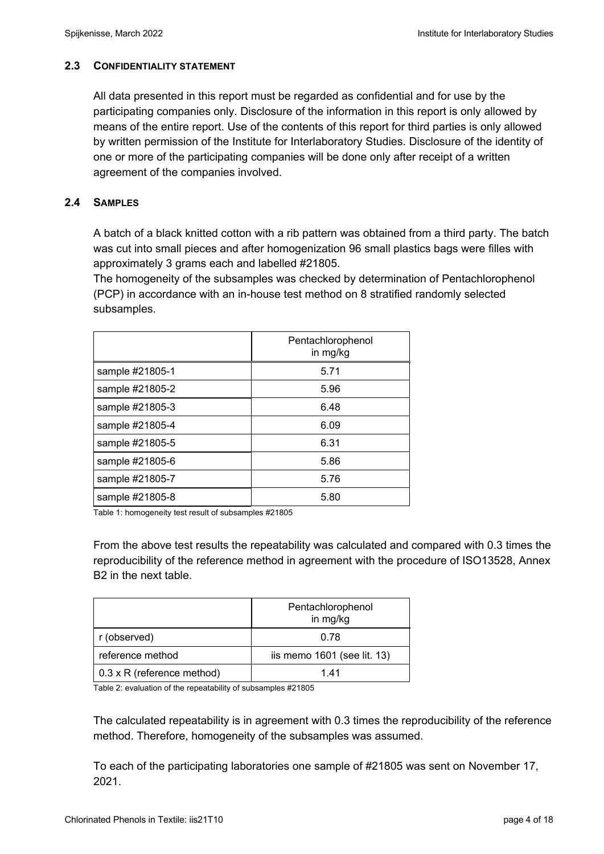## **2.3 CONFIDENTIALITY STATEMENT**

All data presented in this report must be regarded as confidential and for use by the participating companies only. Disclosure of the information in this report is only allowed by means of the entire report. Use of the contents of this report for third parties is only allowed by written permission of the Institute for Interlaboratory Studies. Disclosure of the identity of one or more of the participating companies will be done only after receipt of a written agreement of the companies involved.

# **2.4 SAMPLES**

A batch of a black knitted cotton with a rib pattern was obtained from a third party. The batch was cut into small pieces and after homogenization 96 small plastics bags were filles with approximately 3 grams each and labelled #21805.

The homogeneity of the subsamples was checked by determination of Pentachlorophenol (PCP) in accordance with an in-house test method on 8 stratified randomly selected subsamples.

|                 | Pentachlorophenol<br>in mg/kg |
|-----------------|-------------------------------|
| sample #21805-1 | 5.71                          |
| sample #21805-2 | 5.96                          |
| sample #21805-3 | 6.48                          |
| sample #21805-4 | 6.09                          |
| sample #21805-5 | 6.31                          |
| sample #21805-6 | 5.86                          |
| sample #21805-7 | 5.76                          |
| sample #21805-8 | 5.80                          |

Table 1: homogeneity test result of subsamples #21805

From the above test results the repeatability was calculated and compared with 0.3 times the reproducibility of the reference method in agreement with the procedure of ISO13528, Annex B2 in the next table.

|                                   | Pentachlorophenol<br>in mg/kg |
|-----------------------------------|-------------------------------|
| r (observed)                      | 0.78                          |
| reference method                  | iis memo $1601$ (see lit. 13) |
| $0.3 \times R$ (reference method) | 1 41                          |

Table 2: evaluation of the repeatability of subsamples #21805

The calculated repeatability is in agreement with 0.3 times the reproducibility of the reference method. Therefore, homogeneity of the subsamples was assumed.

To each of the participating laboratories one sample of #21805 was sent on November 17, 2021.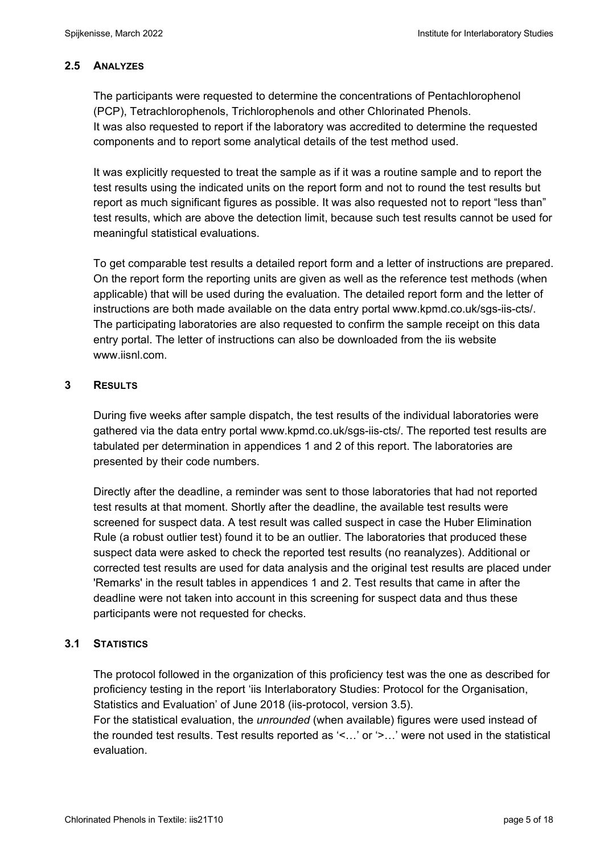## **2.5 ANALYZES**

The participants were requested to determine the concentrations of Pentachlorophenol (PCP), Tetrachlorophenols, Trichlorophenols and other Chlorinated Phenols. It was also requested to report if the laboratory was accredited to determine the requested components and to report some analytical details of the test method used.

It was explicitly requested to treat the sample as if it was a routine sample and to report the test results using the indicated units on the report form and not to round the test results but report as much significant figures as possible. It was also requested not to report "less than" test results, which are above the detection limit, because such test results cannot be used for meaningful statistical evaluations.

To get comparable test results a detailed report form and a letter of instructions are prepared. On the report form the reporting units are given as well as the reference test methods (when applicable) that will be used during the evaluation. The detailed report form and the letter of instructions are both made available on the data entry portal www.kpmd.co.uk/sgs-iis-cts/. The participating laboratories are also requested to confirm the sample receipt on this data entry portal. The letter of instructions can also be downloaded from the iis website www.iisnl.com.

### **3 RESULTS**

During five weeks after sample dispatch, the test results of the individual laboratories were gathered via the data entry portal www.kpmd.co.uk/sgs-iis-cts/. The reported test results are tabulated per determination in appendices 1 and 2 of this report. The laboratories are presented by their code numbers.

Directly after the deadline, a reminder was sent to those laboratories that had not reported test results at that moment. Shortly after the deadline, the available test results were screened for suspect data. A test result was called suspect in case the Huber Elimination Rule (a robust outlier test) found it to be an outlier. The laboratories that produced these suspect data were asked to check the reported test results (no reanalyzes). Additional or corrected test results are used for data analysis and the original test results are placed under 'Remarks' in the result tables in appendices 1 and 2. Test results that came in after the deadline were not taken into account in this screening for suspect data and thus these participants were not requested for checks.

### **3.1 STATISTICS**

The protocol followed in the organization of this proficiency test was the one as described for proficiency testing in the report 'iis Interlaboratory Studies: Protocol for the Organisation, Statistics and Evaluation' of June 2018 (iis-protocol, version 3.5).

For the statistical evaluation, the *unrounded* (when available) figures were used instead of the rounded test results. Test results reported as '<…' or '>…' were not used in the statistical evaluation.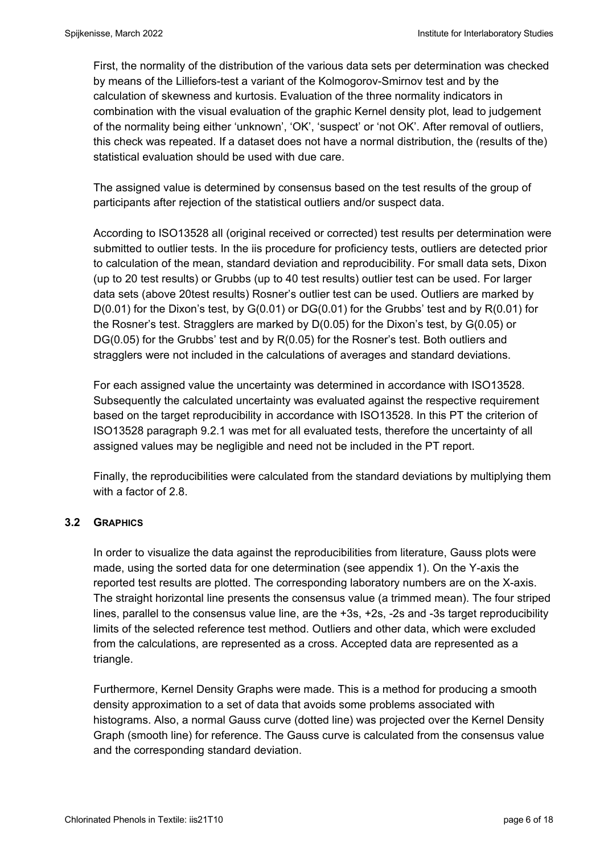First, the normality of the distribution of the various data sets per determination was checked by means of the Lilliefors-test a variant of the Kolmogorov-Smirnov test and by the calculation of skewness and kurtosis. Evaluation of the three normality indicators in combination with the visual evaluation of the graphic Kernel density plot, lead to judgement of the normality being either 'unknown', 'OK', 'suspect' or 'not OK'. After removal of outliers, this check was repeated. If a dataset does not have a normal distribution, the (results of the) statistical evaluation should be used with due care.

The assigned value is determined by consensus based on the test results of the group of participants after rejection of the statistical outliers and/or suspect data.

According to ISO13528 all (original received or corrected) test results per determination were submitted to outlier tests. In the iis procedure for proficiency tests, outliers are detected prior to calculation of the mean, standard deviation and reproducibility. For small data sets, Dixon (up to 20 test results) or Grubbs (up to 40 test results) outlier test can be used. For larger data sets (above 20test results) Rosner's outlier test can be used. Outliers are marked by D(0.01) for the Dixon's test, by G(0.01) or DG(0.01) for the Grubbs' test and by R(0.01) for the Rosner's test. Stragglers are marked by D(0.05) for the Dixon's test, by G(0.05) or DG(0.05) for the Grubbs' test and by R(0.05) for the Rosner's test. Both outliers and stragglers were not included in the calculations of averages and standard deviations.

For each assigned value the uncertainty was determined in accordance with ISO13528. Subsequently the calculated uncertainty was evaluated against the respective requirement based on the target reproducibility in accordance with ISO13528. In this PT the criterion of ISO13528 paragraph 9.2.1 was met for all evaluated tests, therefore the uncertainty of all assigned values may be negligible and need not be included in the PT report.

Finally, the reproducibilities were calculated from the standard deviations by multiplying them with a factor of 2.8.

# **3.2 GRAPHICS**

In order to visualize the data against the reproducibilities from literature, Gauss plots were made, using the sorted data for one determination (see appendix 1). On the Y-axis the reported test results are plotted. The corresponding laboratory numbers are on the X-axis. The straight horizontal line presents the consensus value (a trimmed mean). The four striped lines, parallel to the consensus value line, are the +3s, +2s, -2s and -3s target reproducibility limits of the selected reference test method. Outliers and other data, which were excluded from the calculations, are represented as a cross. Accepted data are represented as a triangle.

Furthermore, Kernel Density Graphs were made. This is a method for producing a smooth density approximation to a set of data that avoids some problems associated with histograms. Also, a normal Gauss curve (dotted line) was projected over the Kernel Density Graph (smooth line) for reference. The Gauss curve is calculated from the consensus value and the corresponding standard deviation.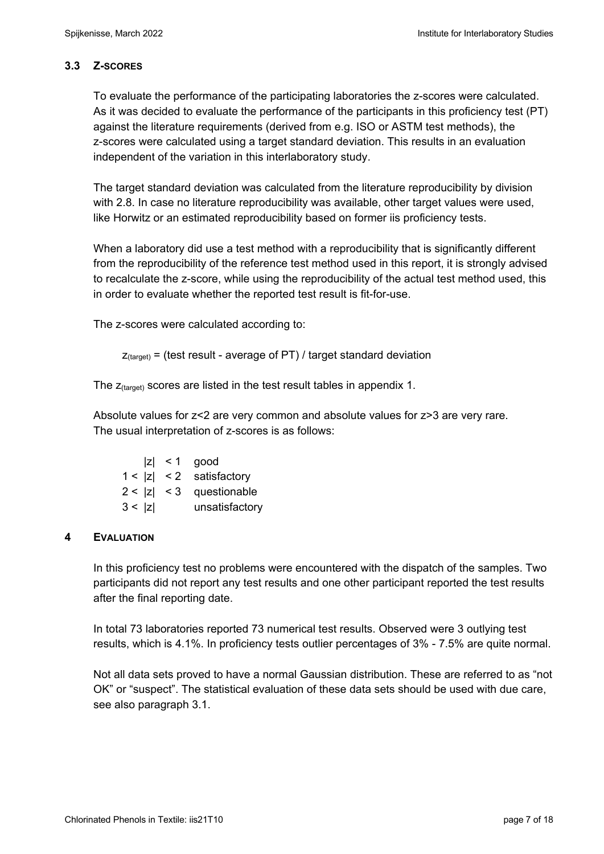# **3.3 Z-SCORES**

To evaluate the performance of the participating laboratories the z-scores were calculated. As it was decided to evaluate the performance of the participants in this proficiency test (PT) against the literature requirements (derived from e.g. ISO or ASTM test methods), the z-scores were calculated using a target standard deviation. This results in an evaluation independent of the variation in this interlaboratory study.

The target standard deviation was calculated from the literature reproducibility by division with 2.8. In case no literature reproducibility was available, other target values were used, like Horwitz or an estimated reproducibility based on former iis proficiency tests.

When a laboratory did use a test method with a reproducibility that is significantly different from the reproducibility of the reference test method used in this report, it is strongly advised to recalculate the z-score, while using the reproducibility of the actual test method used, this in order to evaluate whether the reported test result is fit-for-use.

The z-scores were calculated according to:

```
Z_{\text{target}} = (test result - average of PT) / target standard deviation
```
The  $z_{\text{(target)}}$  scores are listed in the test result tables in appendix 1.

Absolute values for z<2 are very common and absolute values for z>3 are very rare. The usual interpretation of z-scores is as follows:

|        | $ z  < 1$ good             |
|--------|----------------------------|
|        | $1 <  z  < 2$ satisfactory |
|        | $2 <  z  < 3$ questionable |
| 3 <  z | unsatisfactory             |

# **4 EVALUATION**

In this proficiency test no problems were encountered with the dispatch of the samples. Two participants did not report any test results and one other participant reported the test results after the final reporting date.

In total 73 laboratories reported 73 numerical test results. Observed were 3 outlying test results, which is 4.1%. In proficiency tests outlier percentages of 3% - 7.5% are quite normal.

Not all data sets proved to have a normal Gaussian distribution. These are referred to as "not OK" or "suspect". The statistical evaluation of these data sets should be used with due care, see also paragraph 3.1.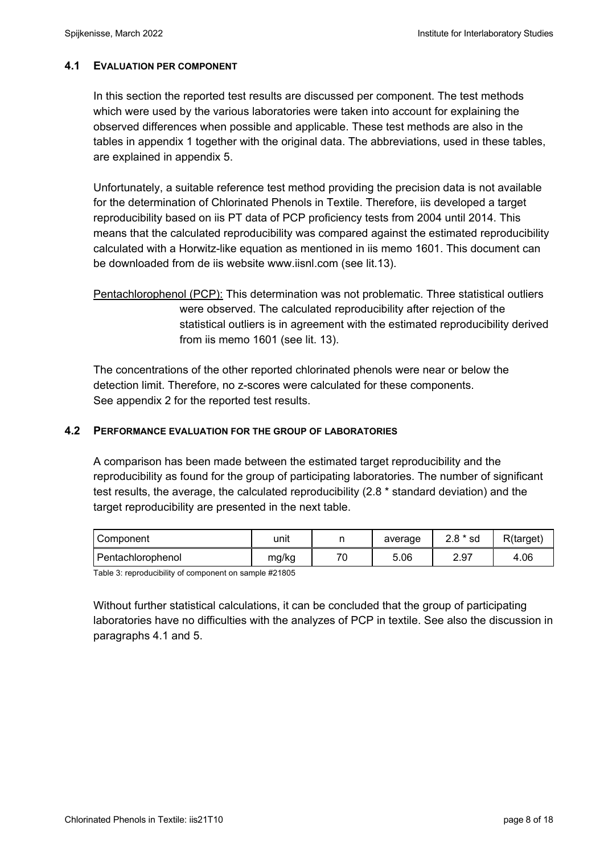### **4.1 EVALUATION PER COMPONENT**

In this section the reported test results are discussed per component. The test methods which were used by the various laboratories were taken into account for explaining the observed differences when possible and applicable. These test methods are also in the tables in appendix 1 together with the original data. The abbreviations, used in these tables, are explained in appendix 5.

Unfortunately, a suitable reference test method providing the precision data is not available for the determination of Chlorinated Phenols in Textile. Therefore, iis developed a target reproducibility based on iis PT data of PCP proficiency tests from 2004 until 2014. This means that the calculated reproducibility was compared against the estimated reproducibility calculated with a Horwitz-like equation as mentioned in iis memo 1601. This document can be downloaded from de iis website www.iisnl.com (see lit.13).

Pentachlorophenol (PCP): This determination was not problematic. Three statistical outliers were observed. The calculated reproducibility after rejection of the statistical outliers is in agreement with the estimated reproducibility derived from iis memo 1601 (see lit. 13).

The concentrations of the other reported chlorinated phenols were near or below the detection limit. Therefore, no z-scores were calculated for these components. See appendix 2 for the reported test results.

### **4.2 PERFORMANCE EVALUATION FOR THE GROUP OF LABORATORIES**

A comparison has been made between the estimated target reproducibility and the reproducibility as found for the group of participating laboratories. The number of significant test results, the average, the calculated reproducibility (2.8 \* standard deviation) and the target reproducibility are presented in the next table.

| Component         | unit  |    | average | $2.8 * sd$ | R(target) |
|-------------------|-------|----|---------|------------|-----------|
| Pentachlorophenol | mg/kg | 70 | 5.06    | 2.97       | 4.06      |

Table 3: reproducibility of component on sample #21805

Without further statistical calculations, it can be concluded that the group of participating laboratories have no difficulties with the analyzes of PCP in textile. See also the discussion in paragraphs 4.1 and 5.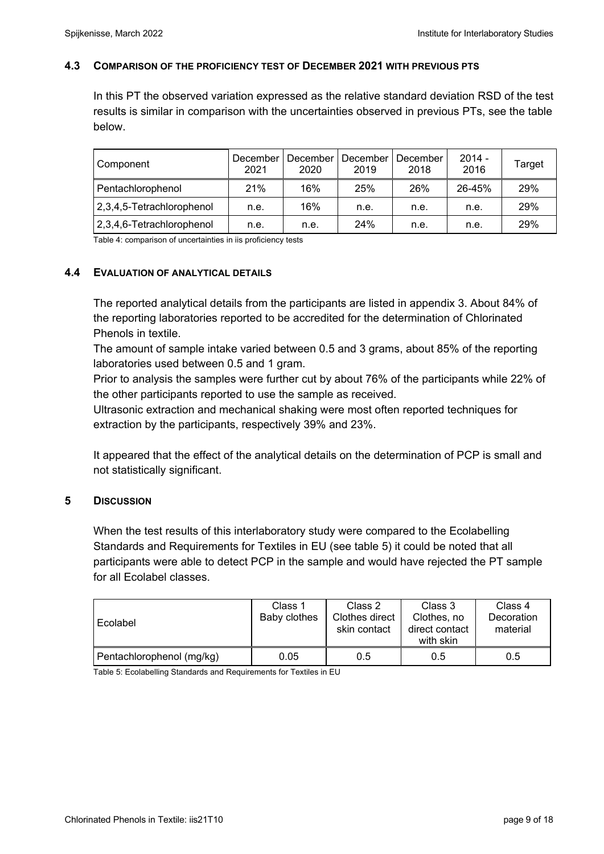#### **4.3 COMPARISON OF THE PROFICIENCY TEST OF DECEMBER 2021 WITH PREVIOUS PTS**

In this PT the observed variation expressed as the relative standard deviation RSD of the test results is similar in comparison with the uncertainties observed in previous PTs, see the table below.

| Component                 | December<br>2021 | December<br>2020 | December<br>2019 | December<br>2018 | $2014 -$<br>2016 | Target |
|---------------------------|------------------|------------------|------------------|------------------|------------------|--------|
| Pentachlorophenol         | 21%              | 16%              | 25%              | 26%              | $26 - 45%$       | 29%    |
| 2,3,4,5-Tetrachlorophenol | n.e.             | 16%              | n.e.             | n.e.             | n.e.             | 29%    |
| 2,3,4,6-Tetrachlorophenol | n.e.             | n.e.             | 24%              | n.e.             | n.e.             | 29%    |

Table 4: comparison of uncertainties in iis proficiency tests

#### **4.4 EVALUATION OF ANALYTICAL DETAILS**

The reported analytical details from the participants are listed in appendix 3. About 84% of the reporting laboratories reported to be accredited for the determination of Chlorinated Phenols in textile.

The amount of sample intake varied between 0.5 and 3 grams, about 85% of the reporting laboratories used between 0.5 and 1 gram.

Prior to analysis the samples were further cut by about 76% of the participants while 22% of the other participants reported to use the sample as received.

Ultrasonic extraction and mechanical shaking were most often reported techniques for extraction by the participants, respectively 39% and 23%.

It appeared that the effect of the analytical details on the determination of PCP is small and not statistically significant.

#### **5 DISCUSSION**

When the test results of this interlaboratory study were compared to the Ecolabelling Standards and Requirements for Textiles in EU (see table 5) it could be noted that all participants were able to detect PCP in the sample and would have rejected the PT sample for all Ecolabel classes.

| Ecolabel                  | Class 1<br>Baby clothes | Class 2<br>Clothes direct<br>skin contact | Class 3<br>Clothes, no<br>direct contact<br>with skin | Class 4<br>Decoration<br>material |
|---------------------------|-------------------------|-------------------------------------------|-------------------------------------------------------|-----------------------------------|
| Pentachlorophenol (mg/kg) | 0.05                    | 0.5                                       | 0.5                                                   | 0.5                               |

Table 5: Ecolabelling Standards and Requirements for Textiles in EU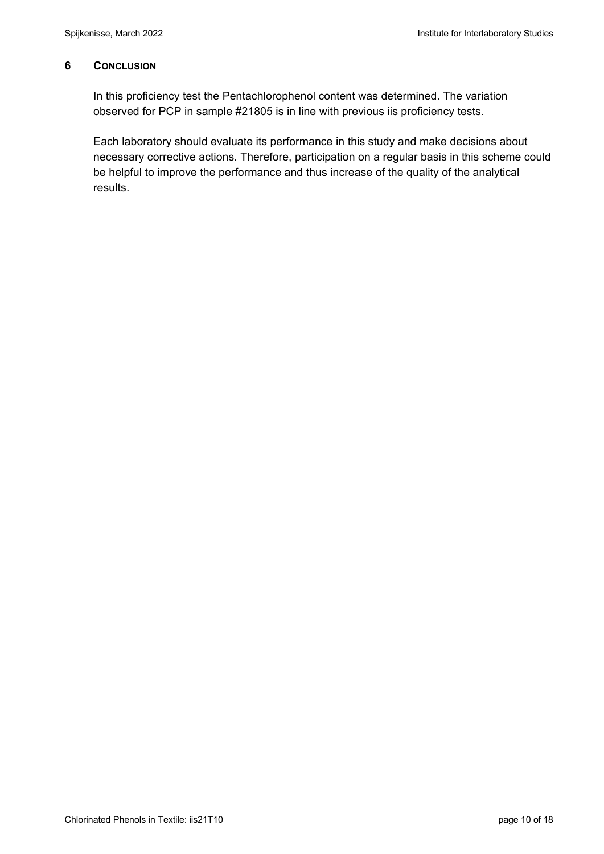### **6 CONCLUSION**

In this proficiency test the Pentachlorophenol content was determined. The variation observed for PCP in sample #21805 is in line with previous iis proficiency tests.

Each laboratory should evaluate its performance in this study and make decisions about necessary corrective actions. Therefore, participation on a regular basis in this scheme could be helpful to improve the performance and thus increase of the quality of the analytical results.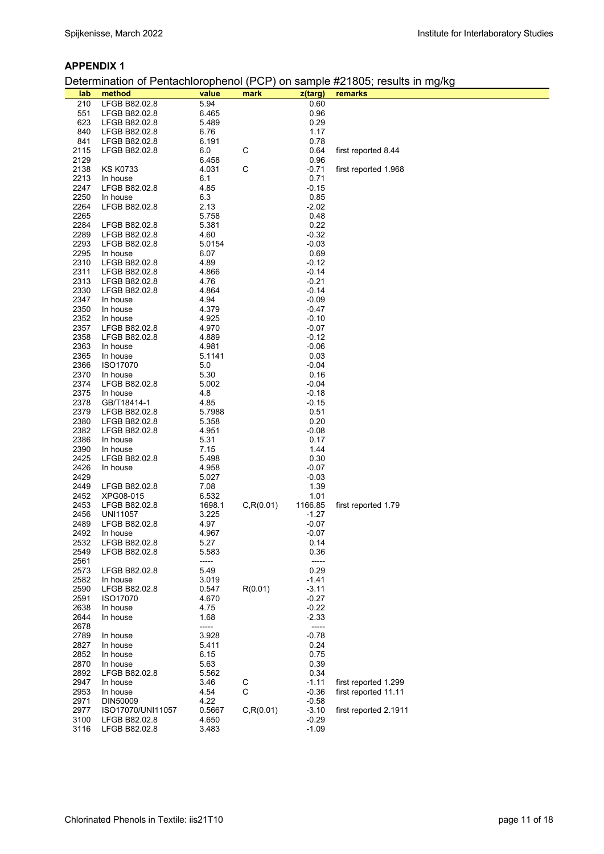#### **APPENDIX 1**

Determination of Pentachlorophenol (PCP) on sample #21805; results in mg/kg

| lab          | method                    | value         | mark        | z(targ)         | remarks               |
|--------------|---------------------------|---------------|-------------|-----------------|-----------------------|
| 210          | LFGB B82.02.8             | 5.94          |             | 0.60            |                       |
| 551          | LFGB B82.02.8             | 6.465         |             | 0.96            |                       |
| 623          | LFGB B82.02.8             | 5.489         |             | 0.29            |                       |
| 840          | LFGB B82.02.8             | 6.76          |             | 1.17            |                       |
| 841          | LFGB B82.02.8             | 6.191         |             | 0.78            |                       |
| 2115         | LFGB B82.02.8             | 6.0           | C           | 0.64            | first reported 8.44   |
| 2129         |                           | 6.458         |             | 0.96            |                       |
| 2138         | <b>KS K0733</b>           | 4.031         | C           | $-0.71$         | first reported 1.968  |
| 2213         | In house                  | 6.1           |             | 0.71            |                       |
| 2247         | LFGB B82.02.8             | 4.85          |             | $-0.15$         |                       |
| 2250         | In house                  | 6.3           |             | 0.85            |                       |
| 2264         | LFGB B82.02.8             | 2.13          |             | $-2.02$         |                       |
| 2265         |                           | 5.758         |             | 0.48            |                       |
| 2284         | LFGB B82.02.8             | 5.381         |             | 0.22            |                       |
| 2289         | LFGB B82.02.8             | 4.60          |             | $-0.32$         |                       |
| 2293         | LFGB B82.02.8             | 5.0154        |             | $-0.03$         |                       |
| 2295         | In house                  | 6.07          |             | 0.69            |                       |
| 2310         | LFGB B82.02.8             | 4.89          |             | $-0.12$         |                       |
| 2311         | LFGB B82.02.8             | 4.866         |             | $-0.14$         |                       |
| 2313         | LFGB B82.02.8             | 4.76          |             | $-0.21$         |                       |
| 2330         | LFGB B82.02.8             | 4.864         |             | $-0.14$         |                       |
| 2347         | In house                  | 4.94          |             | $-0.09$         |                       |
| 2350         | In house                  | 4.379         |             | -0.47           |                       |
| 2352         | In house                  | 4.925         |             | $-0.10$         |                       |
| 2357         | LFGB B82.02.8             | 4.970         |             | $-0.07$         |                       |
| 2358         | LFGB B82.02.8             | 4.889         |             | $-0.12$         |                       |
| 2363         | In house                  | 4.981         |             | $-0.06$         |                       |
| 2365         | In house                  | 5.1141        |             | 0.03            |                       |
| 2366         | ISO17070                  | 5.0           |             | $-0.04$         |                       |
| 2370<br>2374 | In house<br>LFGB B82.02.8 | 5.30<br>5.002 |             | 0.16<br>$-0.04$ |                       |
| 2375         | In house                  | 4.8           |             | $-0.18$         |                       |
| 2378         | GB/T18414-1               | 4.85          |             | $-0.15$         |                       |
| 2379         | LFGB B82.02.8             | 5.7988        |             | 0.51            |                       |
| 2380         | LFGB B82.02.8             | 5.358         |             | 0.20            |                       |
| 2382         | LFGB B82.02.8             | 4.951         |             | $-0.08$         |                       |
| 2386         | In house                  | 5.31          |             | 0.17            |                       |
| 2390         | In house                  | 7.15          |             | 1.44            |                       |
| 2425         | LFGB B82.02.8             | 5.498         |             | 0.30            |                       |
| 2426         | In house                  | 4.958         |             | $-0.07$         |                       |
| 2429         |                           | 5.027         |             | $-0.03$         |                       |
| 2449         | LFGB B82.02.8             | 7.08          |             | 1.39            |                       |
| 2452         | XPG08-015                 | 6.532         |             | 1.01            |                       |
| 2453         | LFGB B82.02.8             | 1698.1        | C, R(0.01)  | 1166.85         | first reported 1.79   |
| 2456         | UNI11057                  | 3.225         |             | -1.27           |                       |
| 2489         | LFGB B82.02.8             | 4.97          |             | $-0.07$         |                       |
| 2492         | In house                  | 4.967         |             | $-0.07$         |                       |
| 2532         | LFGB B82.02.8             | 5.27          |             | 0.14            |                       |
| 2549<br>2561 | LFGB B82.02.8             | 5.583         |             | 0.36            |                       |
| 2573         | LFGB B82.02.8             | -----<br>5.49 |             | -----<br>0.29   |                       |
| 2582         | In house                  | 3.019         |             | $-1.41$         |                       |
| 2590         | LFGB B82.02.8             | 0.547         | R(0.01)     | $-3.11$         |                       |
| 2591         | ISO17070                  | 4.670         |             | $-0.27$         |                       |
| 2638         | In house                  | 4.75          |             | $-0.22$         |                       |
| 2644         | In house                  | 1.68          |             | $-2.33$         |                       |
| 2678         |                           | -----         |             | -----           |                       |
| 2789         | In house                  | 3.928         |             | $-0.78$         |                       |
| 2827         | In house                  | 5.411         |             | 0.24            |                       |
| 2852         | In house                  | 6.15          |             | 0.75            |                       |
| 2870         | In house                  | 5.63          |             | 0.39            |                       |
| 2892         | LFGB B82.02.8             | 5.562         |             | 0.34            |                       |
| 2947         | In house                  | 3.46          | $\rm_{C}^C$ | $-1.11$         | first reported 1.299  |
| 2953         | In house                  | 4.54          |             | $-0.36$         | first reported 11.11  |
| 2971         | DIN50009                  | 4.22          |             | $-0.58$         |                       |
| 2977         | ISO17070/UNI11057         | 0.5667        | C, R(0.01)  | $-3.10$         | first reported 2.1911 |
| 3100         | LFGB B82.02.8             | 4.650         |             | $-0.29$         |                       |
| 3116         | LFGB B82.02.8             | 3.483         |             | $-1.09$         |                       |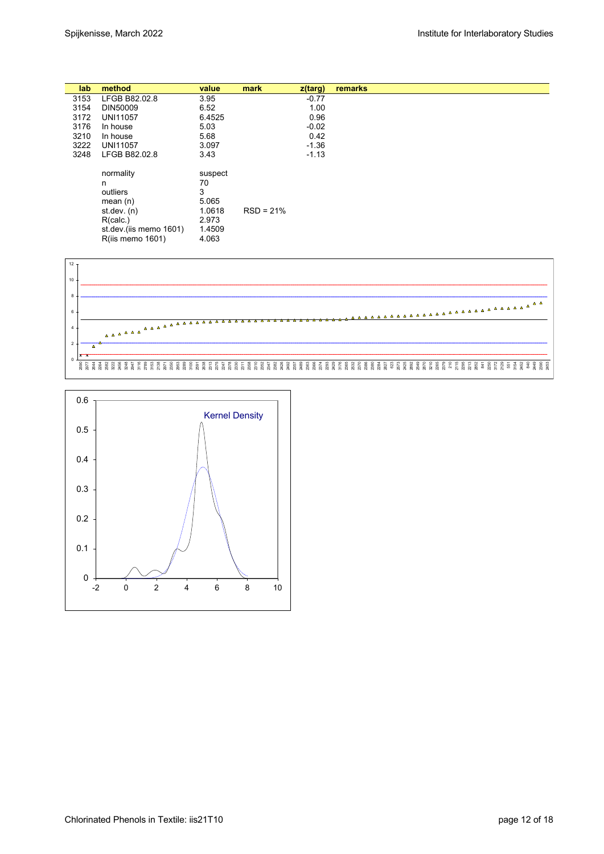| lab  | method                 | value   | mark        | $z$ (targ) | remarks |
|------|------------------------|---------|-------------|------------|---------|
| 3153 | LFGB B82.02.8          | 3.95    |             | $-0.77$    |         |
| 3154 | DIN50009               | 6.52    |             | 1.00       |         |
| 3172 | <b>UNI11057</b>        | 6.4525  |             | 0.96       |         |
| 3176 | In house               | 5.03    |             | $-0.02$    |         |
| 3210 | In house               | 5.68    |             | 0.42       |         |
| 3222 | <b>UNI11057</b>        | 3.097   |             | $-1.36$    |         |
| 3248 | LFGB B82.02.8          | 3.43    |             | $-1.13$    |         |
|      | normality              | suspect |             |            |         |
|      | n                      | 70      |             |            |         |
|      | outliers               | 3       |             |            |         |
|      | mean $(n)$             | 5.065   |             |            |         |
|      | st.dev. $(n)$          | 1.0618  | $RSD = 21%$ |            |         |
|      | R(calc.)               | 2.973   |             |            |         |
|      | st.dev.(iis memo 1601) | 1.4509  |             |            |         |
|      | R(iis memo 1601)       | 4.063   |             |            |         |
|      |                        |         |             |            |         |



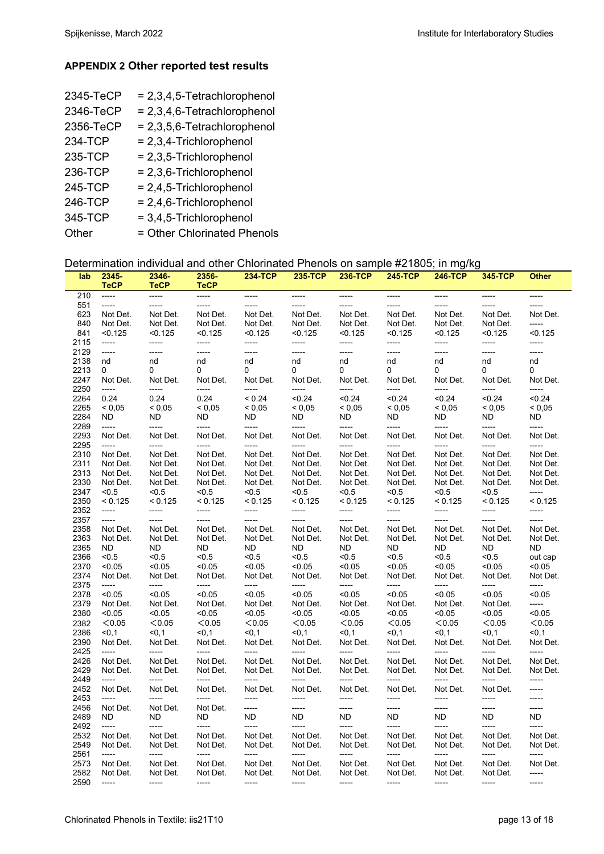#### **APPENDIX 2 Other reported test results**

| 2345-TeCP | $= 2,3,4,5$ -Tetrachlorophenol |
|-----------|--------------------------------|
| 2346-TeCP | $= 2,3,4,6$ -Tetrachlorophenol |
| 2356-TeCP | $= 2,3,5,6$ -Tetrachlorophenol |
| 234-TCP   | $= 2,3,4$ -Trichlorophenol     |
| 235-TCP   | $= 2,3,5$ -Trichlorophenol     |
| 236-TCP   | = 2,3,6-Trichlorophenol        |
| 245-TCP   | $= 2,4,5$ -Trichlorophenol     |
| 246-TCP   | $= 2,4,6$ -Trichlorophenol     |
| 345-TCP   | $= 3,4,5$ -Trichlorophenol     |
| Other     | = Other Chlorinated Phenols    |

### Determination individual and other Chlorinated Phenols on sample #21805; in mg/kg

| lab          | 2345-<br><b>TeCP</b> | 2346-<br><b>TeCP</b> | 2356-<br><b>TeCP</b> | 234-TCP           | 235-TCP           | 236-TCP           | <u>245-TCP</u>    | 246-TCP           | 345-TCP           | Other          |
|--------------|----------------------|----------------------|----------------------|-------------------|-------------------|-------------------|-------------------|-------------------|-------------------|----------------|
| 210          | -----                | -----                | -----                | -----             | -----             | -----             | -----             | -----             | -----             | -----          |
| 551          | -----                | $1 - 1 - 1 - 1 = 1$  | -----                | -----             | -----             | -----             | -----             | -----             | -----             |                |
| 623          | Not Det.             | Not Det.             | Not Det.             | Not Det.          | Not Det.          | Not Det.          | Not Det.          | Not Det.          | Not Det.          | Not Det.       |
| 840          | Not Det.             | Not Det.             | Not Det.             | Not Det.          | Not Det.          | Not Det.          | Not Det.          | Not Det.          | Not Det.          | -----          |
| 841          | < 0.125              | < 0.125              | < 0.125              | < 0.125           | < 0.125           | < 0.125           | < 0.125           | < 0.125           | < 0.125           | < 0.125        |
| 2115         | $-----$              | -----                | -----                | -----             | -----             | -----             | -----             | -----             | -----             | -----          |
| 2129         | $-----$              | -----                | $-----$              | -----             | -----             | -----             | -----             | -----             | -----             | -----          |
| 2138         | nd                   | nd                   | nd                   | nd                | nd                | nd                | nd                | nd                | nd                | nd             |
| 2213<br>2247 | 0<br>Not Det.        | 0<br>Not Det.        | 0<br>Not Det.        | 0<br>Not Det.     | 0<br>Not Det.     | 0<br>Not Det.     | 0<br>Not Det.     | 0<br>Not Det.     | 0<br>Not Det.     | 0<br>Not Det.  |
| 2250         | -----                | -----                | -----                | -----             | -----             | -----             | -----             | -----             | -----             | -----          |
| 2264         | 0.24                 | 0.24                 | 0.24                 | < 0.24            | < 0.24            | < 0.24            | < 0.24            | < 0.24            | < 0.24            | < 0.24         |
| 2265         | ${}_{0.05}$          | ${}_{0.05}$          | ${}_{0.05}$          | ${}_{0.05}$       | < 0,05            | < 0.05            | ${}_{0,05}$       | ${}_{0.05}$       | < 0,05            | < 0,05         |
| 2284         | ND.                  | ND.                  | <b>ND</b>            | ND.               | ND                | ND.               | ND.               | ND.               | ND.               | ND.            |
| 2289         | -----                | -----                | -----                | -----             | -----             | -----             | -----             | -----             | -----             | -----          |
| 2293         | Not Det.             | Not Det.             | Not Det.             | Not Det.          | Not Det.          | Not Det.          | Not Det.          | Not Det.          | Not Det.          | Not Det.       |
| 2295         | $-----$              | -----                | -----                | -----             | -----             | -----             | -----             | -----             | -----             | -----          |
| 2310         | Not Det.             | Not Det.             | Not Det.             | Not Det.          | Not Det.          | Not Det.          | Not Det.          | Not Det.          | Not Det.          | Not Det.       |
| 2311         | Not Det.             | Not Det.             | Not Det.             | Not Det.          | Not Det.          | Not Det.          | Not Det.          | Not Det.          | Not Det.          | Not Det.       |
| 2313         | Not Det.             | Not Det.             | Not Det.             | Not Det.          | Not Det.          | Not Det.          | Not Det.          | Not Det.          | Not Det.          | Not Det.       |
| 2330         | Not Det.             | Not Det.             | Not Det.             | Not Det.          | Not Det.          | Not Det.          | Not Det.          | Not Det.          | Not Det.          | Not Det.       |
| 2347         | < 0.5                | < 0.5                | < 0.5                | < 0.5             | < 0.5             | < 0.5             | < 0.5             | < 0.5             | < 0.5             | -----          |
| 2350         | < 0.125              | < 0.125              | < 0.125              | < 0.125           | < 0.125           | < 0.125           | < 0.125           | < 0.125           | < 0.125           | < 0.125        |
| 2352         | -----                | -----                | -----                | -----             | -----             | -----             | -----             | -----             | -----             | -----          |
| 2357         | -----                | -----                | -----                | -----             | -----             | -----             | -----             | -----             | -----             | -----          |
| 2358<br>2363 | Not Det.             | Not Det.             | Not Det.             | Not Det.          | Not Det.          | Not Det.          | Not Det.          | Not Det.          | Not Det.          | Not Det.       |
| 2365         | Not Det.<br>ND.      | Not Det.<br>ND.      | Not Det.<br>ND.      | Not Det.<br>ND.   | Not Det.<br>ND    | Not Det.<br>ND    | Not Det.<br>ND.   | Not Det.<br>ND.   | Not Det.<br>ND    | Not Det.<br>ND |
| 2366         | < 0.5                | < 0.5                | < 0.5                | < 0.5             | < 0.5             | < 0.5             | < 0.5             | < 0.5             | < 0.5             | out cap        |
| 2370         | < 0.05               | < 0.05               | < 0.05               | < 0.05            | < 0.05            | < 0.05            | < 0.05            | < 0.05            | < 0.05            | < 0.05         |
| 2374         | Not Det.             | Not Det.             | Not Det.             | Not Det.          | Not Det.          | Not Det.          | Not Det.          | Not Det.          | Not Det.          | Not Det.       |
| 2375         | -----                | -----                | -----                | -----             | -----             | -----             | -----             | -----             | -----             | -----          |
| 2378         | < 0.05               | < 0.05               | < 0.05               | < 0.05            | < 0.05            | < 0.05            | < 0.05            | < 0.05            | < 0.05            | < 0.05         |
| 2379         | Not Det.             | Not Det.             | Not Det.             | Not Det.          | Not Det.          | Not Det.          | Not Det.          | Not Det.          | Not Det.          | -----          |
| 2380         | < 0.05               | < 0.05               | < 0.05               | < 0.05            | < 0.05            | < 0.05            | < 0.05            | < 0.05            | < 0.05            | < 0.05         |
| 2382         | < 0.05               | < 0.05               | < 0.05               | < 0.05            | < 0.05            | < 0.05            | < 0.05            | < 0.05            | < 0.05            | < 0.05         |
| 2386         | $0,1$                | $0.1$                | $0,1$                | < 0.1             | $0,1$             | $0,1$             | < 0, 1            | < 0.1             | < 0.1             | $0,1$          |
| 2390         | Not Det.             | Not Det.             | Not Det.             | Not Det.          | Not Det.          | Not Det.          | Not Det.          | Not Det.          | Not Det.          | Not Det.       |
| 2425         | $-----$              | -----                | -----                | -----             | -----             | -----             | -----             | -----             | -----             | -----          |
| 2426         | Not Det.             | Not Det.             | Not Det.             | Not Det.          | Not Det.          | Not Det.          | Not Det.          | Not Det.          | Not Det.          | Not Det.       |
| 2429         | Not Det.             | Not Det.             | Not Det.             | Not Det.          | Not Det.          | Not Det.          | Not Det.          | Not Det.          | Not Det.          | Not Det.       |
| 2449         | -----                | -----                | -----                | -----             | -----             | -----             | -----             | -----             | -----             | -----          |
| 2452<br>2453 | Not Det.<br>$-----$  | Not Det.<br>-----    | Not Det.<br>-----    | Not Det.<br>----- | Not Det.<br>----- | Not Det.<br>----- | Not Det.<br>----- | Not Det.<br>----- | Not Det.<br>----- | -----<br>----- |
| 2456         | Not Det.             | Not Det.             | Not Det.             | -----             | -----             | -----             | -----             | -----             | -----             | -----          |
| 2489         | ND.                  | ND.                  | ND                   | ND.               | ND                | ND.               | ND.               | ND.               | ND.               | ND.            |
| 2492         | -----                | -----                | -----                | -----             | -----             | -----             | -----             | -----             | -----             | -----          |
| 2532         | Not Det.             | Not Det.             | Not Det.             | Not Det.          | Not Det.          | Not Det.          | Not Det.          | Not Det.          | Not Det.          | Not Det.       |
| 2549         | Not Det.             | Not Det.             | Not Det.             | Not Det.          | Not Det.          | Not Det.          | Not Det.          | Not Det.          | Not Det.          | Not Det.       |
| 2561         | -----                | -----                | -----                | -----             | -----             | -----             | -----             | -----             | -----             | -----          |
| 2573         | Not Det.             | Not Det.             | Not Det.             | Not Det.          | Not Det.          | Not Det.          | Not Det.          | Not Det.          | Not Det.          | Not Det.       |
| 2582         | Not Det.             | Not Det.             | Not Det.             | Not Det.          | Not Det.          | Not Det.          | Not Det.          | Not Det.          | Not Det.          | -----          |
| 2590         | -----                | -----                | -----                | -----             | -----             | -----             | -----             | -----             | -----             | -----          |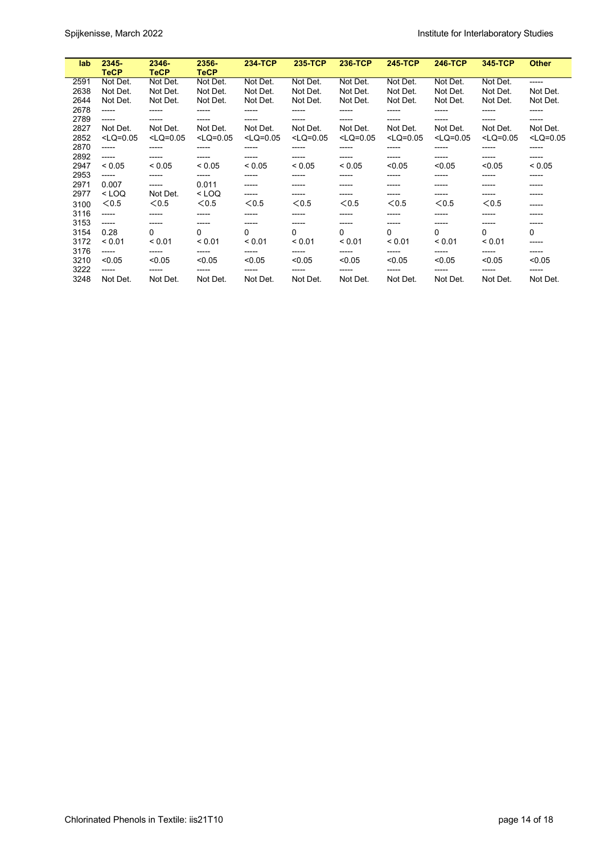| lab  | $2345 -$<br><b>TeCP</b> | 2346-<br>TeCP | $2356 -$<br>TeCP | <b>234-TCP</b> | 235-TCP     | <b>236-TCP</b> | <b>245-TCP</b> | <b>246-TCP</b> | 345-TCP     | <b>Other</b> |
|------|-------------------------|---------------|------------------|----------------|-------------|----------------|----------------|----------------|-------------|--------------|
| 2591 | Not Det.                | Not Det.      | Not Det.         | Not Det.       | Not Det.    | Not Det.       | Not Det.       | Not Det.       | Not Det.    | -----        |
| 2638 | Not Det.                | Not Det.      | Not Det.         | Not Det.       | Not Det.    | Not Det.       | Not Det.       | Not Det.       | Not Det.    | Not Det.     |
| 2644 | Not Det.                | Not Det.      | Not Det.         | Not Det.       | Not Det.    | Not Det.       | Not Det.       | Not Det.       | Not Det.    | Not Det.     |
| 2678 | -----                   |               | -----            |                |             |                |                | -----          | -----       | -----        |
| 2789 | $- - - - -$             | -----         | -----            | -----          | -----       | -----          | -----          | -----          | -----       | -----        |
| 2827 | Not Det.                | Not Det.      | Not Det.         | Not Det.       | Not Det.    | Not Det.       | Not Det.       | Not Det.       | Not Det.    | Not Det.     |
| 2852 | $<$ LQ=0.05             | $<$ LQ=0.05   | $<$ LQ=0.05      | $<$ LQ=0.05    | $<$ LQ=0.05 | $<$ LQ=0.05    | $<$ LQ=0.05    | $<$ LQ=0.05    | $<$ LQ=0.05 | $<$ LQ=0.05  |
| 2870 | -----                   |               | -----            |                | -----       | -----          | -----          | -----          | -----       | -----        |
| 2892 | -----                   | -----         | -----            | -----          | -----       | -----          | -----          | -----          | -----       | -----        |
| 2947 | ${}_{0.05}$             | ${}_{0.05}$   | ${}_{0.05}$      | < 0.05         | ${}_{0.05}$ | ${}_{0.05}$    | < 0.05         | < 0.05         | < 0.05      | < 0.05       |
| 2953 | -----                   | -----         | -----            | -----          | -----       | -----          | -----          | -----          | -----       | -----        |
| 2971 | 0.007                   | -----         | 0.011            | -----          | -----       | -----          | -----          | -----          | -----       | -----        |
| 2977 | $<$ LOQ                 | Not Det.      | $<$ LOQ          | -----          | -----       | -----          | -----          | -----          | -----       | -----        |
| 3100 | < 0.5                   | < 0.5         | < 0.5            | < 0.5          | < 0.5       | < 0.5          | < 0.5          | < 0.5          | < 0.5       | -----        |
| 3116 | -----                   | -----         | -----            |                | -----       | -----          | -----          | -----          | -----       | -----        |
| 3153 | -----                   | -----         | -----            | -----          | -----       | -----          | -----          | -----          | ------      | -----        |
| 3154 | 0.28                    | 0             | 0                | 0              | 0           | $\mathbf{0}$   | 0              | 0              | 0           | 0            |
| 3172 | < 0.01                  | < 0.01        | < 0.01           | < 0.01         | < 0.01      | < 0.01         | < 0.01         | < 0.01         | < 0.01      | -----        |
| 3176 | -----                   |               | -----            | -----          |             | -----          |                | -----          | -----       | -----        |
| 3210 | < 0.05                  | < 0.05        | < 0.05           | < 0.05         | < 0.05      | < 0.05         | < 0.05         | < 0.05         | < 0.05      | < 0.05       |
| 3222 | -----                   | -----         | -----            | -----          |             | -----          |                | -----          | -----       | -----        |
| 3248 | Not Det.                | Not Det.      | Not Det.         | Not Det.       | Not Det.    | Not Det.       | Not Det.       | Not Det.       | Not Det.    | Not Det.     |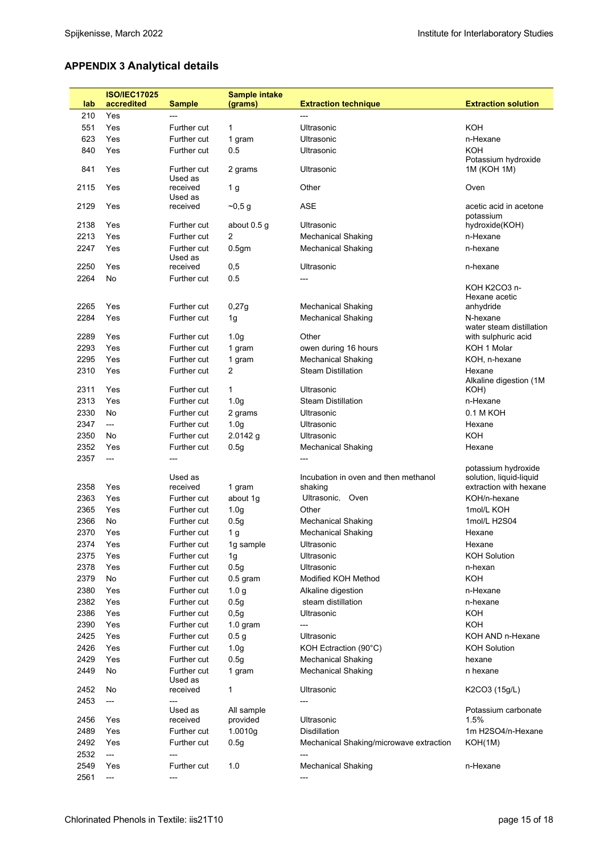# **APPENDIX 3 Analytical details**

|              | <b>ISO/IEC17025</b>             |                                | <b>Sample intake</b> |                                                  |                                                                          |
|--------------|---------------------------------|--------------------------------|----------------------|--------------------------------------------------|--------------------------------------------------------------------------|
| lab          | accredited                      | <b>Sample</b>                  | (grams)              | <b>Extraction technique</b>                      | <b>Extraction solution</b>                                               |
| 210          | Yes                             | ---                            |                      | ---                                              |                                                                          |
| 551          | Yes                             | Further cut                    | 1                    | Ultrasonic                                       | <b>KOH</b>                                                               |
| 623          | Yes                             | Further cut                    | 1 gram               | <b>Ultrasonic</b>                                | n-Hexane                                                                 |
| 840          | Yes                             | Further cut                    | 0.5                  | Ultrasonic                                       | <b>KOH</b>                                                               |
| 841          | Yes                             | Further cut<br>Used as         | 2 grams              | Ultrasonic                                       | Potassium hydroxide<br>1M (KOH 1M)                                       |
| 2115         | Yes                             | received<br>Used as            | 1 g                  | Other                                            | Oven                                                                     |
| 2129         | Yes                             | received                       | $-0,5$ g             | <b>ASE</b>                                       | acetic acid in acetone<br>potassium                                      |
| 2138         | Yes                             | Further cut                    | about 0.5 g          | Ultrasonic                                       | hydroxide(KOH)                                                           |
| 2213         | Yes                             | Further cut                    | $\overline{2}$       | Mechanical Shaking                               | n-Hexane                                                                 |
| 2247         | Yes                             | Further cut<br>Used as         | 0.5 <sub>gm</sub>    | <b>Mechanical Shaking</b>                        | n-hexane                                                                 |
| 2250         | Yes                             | received                       | 0,5                  | Ultrasonic                                       | n-hexane                                                                 |
| 2264         | No                              | Further cut                    | 0.5                  | ---                                              |                                                                          |
|              |                                 |                                |                      |                                                  | KOH K2CO3 n-<br>Hexane acetic                                            |
| 2265         | Yes                             | Further cut                    | 0,27g                | <b>Mechanical Shaking</b>                        | anhydride                                                                |
| 2284         | Yes                             | Further cut                    | 1g                   | <b>Mechanical Shaking</b>                        | N-hexane<br>water steam distillation                                     |
| 2289         | Yes                             | Further cut                    | 1.0 <sub>g</sub>     | Other                                            | with sulphuric acid                                                      |
| 2293         | Yes                             | Further cut                    | 1 gram               | owen during 16 hours                             | KOH 1 Molar                                                              |
| 2295         | Yes                             | Further cut                    | 1 gram               | <b>Mechanical Shaking</b>                        | KOH, n-hexane                                                            |
| 2310         | Yes                             | Further cut                    | 2                    | <b>Steam Distillation</b>                        | Hexane<br>Alkaline digestion (1M                                         |
| 2311         | Yes                             | Further cut                    | $\mathbf{1}$         | Ultrasonic                                       | KOH)                                                                     |
| 2313         | Yes                             | Further cut                    | 1.0 <sub>q</sub>     | <b>Steam Distillation</b>                        | n-Hexane                                                                 |
| 2330         | No                              | Further cut                    | 2 grams              | Ultrasonic                                       | 0.1 M KOH                                                                |
| 2347         | $\qquad \qquad -\qquad -$       | Further cut                    | 1.0 <sub>g</sub>     | Ultrasonic                                       | Hexane                                                                   |
| 2350         | No                              | Further cut                    | $2.0142$ g           | Ultrasonic                                       | <b>KOH</b>                                                               |
| 2352         | Yes                             | Further cut                    | 0.5g                 | <b>Mechanical Shaking</b>                        | Hexane                                                                   |
| 2357         | ---                             | ---                            |                      |                                                  |                                                                          |
|              | Yes                             | Used as                        |                      | Incubation in oven and then methanol<br>shaking  | potassium hydroxide<br>solution, liquid-liquid<br>extraction with hexane |
| 2358<br>2363 | Yes                             | received<br><b>Further cut</b> | 1 gram<br>about 1g   | Ultrasonic, Oven                                 | KOH/n-hexane                                                             |
| 2365         | Yes                             | Further cut                    |                      | Other                                            | 1mol/L KOH                                                               |
| 2366         |                                 |                                | 1.0 <sub>g</sub>     |                                                  | 1mol/L H2S04                                                             |
|              | No                              | Further cut                    | 0.5g                 | <b>Mechanical Shaking</b>                        |                                                                          |
| 2370         | Yes                             | <b>Further cut</b>             | 1 g                  | <b>Mechanical Shaking</b>                        | Hexane                                                                   |
| 2374         | Yes                             | Further cut                    | 1g sample            | Ultrasonic                                       | Hexane                                                                   |
| 2375         | Yes                             | Further cut                    | 1g                   | Ultrasonic                                       | <b>KOH Solution</b>                                                      |
| 2378         | Yes                             | Further cut                    | 0.5q                 | Ultrasonic                                       | n-hexan                                                                  |
| 2379         | No                              | Further cut                    | $0.5$ gram           | Modified KOH Method                              | KOH                                                                      |
| 2380         | Yes                             | Further cut                    | 1.0 <sub>g</sub>     | Alkaline digestion                               | n-Hexane                                                                 |
| 2382         | Yes                             | Further cut                    | 0.5q                 | steam distillation                               | n-hexane                                                                 |
| 2386         | Yes                             | Further cut                    | 0,5q                 | Ultrasonic                                       | KOH                                                                      |
| 2390         | Yes                             | Further cut                    | $1.0$ gram           | $---$                                            | KOH                                                                      |
| 2425         | Yes                             | Further cut                    | 0.5 <sub>g</sub>     | Ultrasonic                                       | KOH AND n-Hexane                                                         |
| 2426         | Yes                             | Further cut                    | 1.0 <sub>g</sub>     | KOH Ectraction (90°C)                            | <b>KOH Solution</b>                                                      |
| 2429         | Yes                             | Further cut                    | 0.5g                 | Mechanical Shaking                               | hexane                                                                   |
| 2449         | No                              | Further cut<br>Used as         | 1 gram               | <b>Mechanical Shaking</b>                        | n hexane                                                                 |
| 2452         | No                              | received                       | 1                    | Ultrasonic                                       | K2CO3 (15g/L)                                                            |
| 2453         | ---                             | ---<br>Used as                 | All sample           | ---                                              | Potassium carbonate                                                      |
| 2456         | Yes                             | received                       | provided             | Ultrasonic                                       | 1.5%                                                                     |
| 2489         | Yes                             | Further cut                    | 1.0010g              | <b>Disdillation</b>                              | 1m H2SO4/n-Hexane                                                        |
| 2492<br>2532 | Yes<br>$\overline{\phantom{a}}$ | Further cut<br>$---$           | 0.5g                 | Mechanical Shaking/microwave extraction<br>$---$ | KOH(1M)                                                                  |
| 2549         | Yes                             | Further cut                    | 1.0                  | <b>Mechanical Shaking</b>                        | n-Hexane                                                                 |
| 2561         | ---                             | ---                            |                      | ---                                              |                                                                          |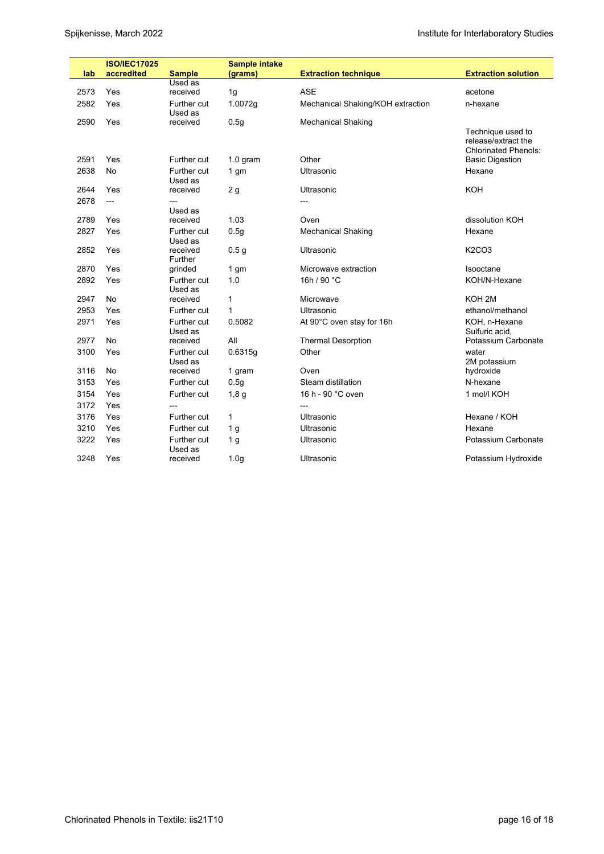|      | <b>ISO/IEC17025</b> |                          | <b>Sample intake</b> |                                   |                                                                         |
|------|---------------------|--------------------------|----------------------|-----------------------------------|-------------------------------------------------------------------------|
| lab  | accredited          | <b>Sample</b><br>Used as | (grams)              | <b>Extraction technique</b>       | <b>Extraction solution</b>                                              |
| 2573 | Yes                 | received                 | 1g                   | <b>ASE</b>                        | acetone                                                                 |
| 2582 | Yes                 | Further cut              | 1.0072g              | Mechanical Shaking/KOH extraction | n-hexane                                                                |
|      |                     | Used as                  |                      |                                   |                                                                         |
| 2590 | Yes                 | received                 | 0.5q                 | <b>Mechanical Shaking</b>         |                                                                         |
|      |                     |                          |                      |                                   | Technique used to<br>release/extract the<br><b>Chlorinated Phenols:</b> |
| 2591 | Yes                 | Further cut              | $1.0$ gram           | Other                             | <b>Basic Digestion</b>                                                  |
| 2638 | <b>No</b>           | Further cut<br>Used as   | 1 gm                 | Ultrasonic                        | Hexane                                                                  |
| 2644 | Yes                 | received                 | 2 <sub>g</sub>       | Ultrasonic                        | KOH                                                                     |
| 2678 | ---                 | ---                      |                      |                                   |                                                                         |
|      |                     | Used as                  |                      |                                   |                                                                         |
| 2789 | Yes                 | received                 | 1.03                 | Oven                              | dissolution KOH                                                         |
| 2827 | Yes                 | Further cut<br>Used as   | 0.5 <sub>g</sub>     | <b>Mechanical Shaking</b>         | Hexane                                                                  |
| 2852 | Yes                 | received<br>Further      | 0.5 <sub>g</sub>     | Ultrasonic                        | <b>K2CO3</b>                                                            |
| 2870 | Yes                 | grinded                  | 1 <sub>gm</sub>      | Microwave extraction              | Isooctane                                                               |
| 2892 | Yes                 | Further cut<br>Used as   | 1.0                  | 16h / 90 °C                       | KOH/N-Hexane                                                            |
| 2947 | <b>No</b>           | received                 | 1                    | Microwave                         | KOH <sub>2M</sub>                                                       |
| 2953 | Yes                 | Further cut              | 1                    | Ultrasonic                        | ethanol/methanol                                                        |
| 2971 | Yes                 | Further cut<br>Used as   | 0.5082               | At 90°C oven stay for 16h         | KOH, n-Hexane<br>Sulfuric acid,                                         |
| 2977 | <b>No</b>           | received                 | All                  | <b>Thermal Desorption</b>         | Potassium Carbonate                                                     |
| 3100 | Yes                 | Further cut<br>Used as   | 0.6315g              | Other                             | water<br>2M potassium                                                   |
| 3116 | <b>No</b>           | received                 | 1 gram               | Oven                              | hydroxide                                                               |
| 3153 | Yes                 | Further cut              | 0.5 <sub>g</sub>     | Steam distillation                | N-hexane                                                                |
| 3154 | Yes                 | Further cut              | 1,8g                 | 16 h - 90 °C oven                 | 1 mol/l KOH                                                             |
| 3172 | Yes                 | ---                      |                      | $---$                             |                                                                         |
| 3176 | Yes                 | Further cut              | $\mathbf{1}$         | Ultrasonic                        | Hexane / KOH                                                            |
| 3210 | Yes                 | Further cut              | 1 <sub>g</sub>       | <b>Ultrasonic</b>                 | Hexane                                                                  |
| 3222 | Yes                 | Further cut<br>Used as   | 1 <sub>g</sub>       | Ultrasonic                        | Potassium Carbonate                                                     |
| 3248 | Yes                 | received                 | 1.0 <sub>g</sub>     | Ultrasonic                        | Potassium Hydroxide                                                     |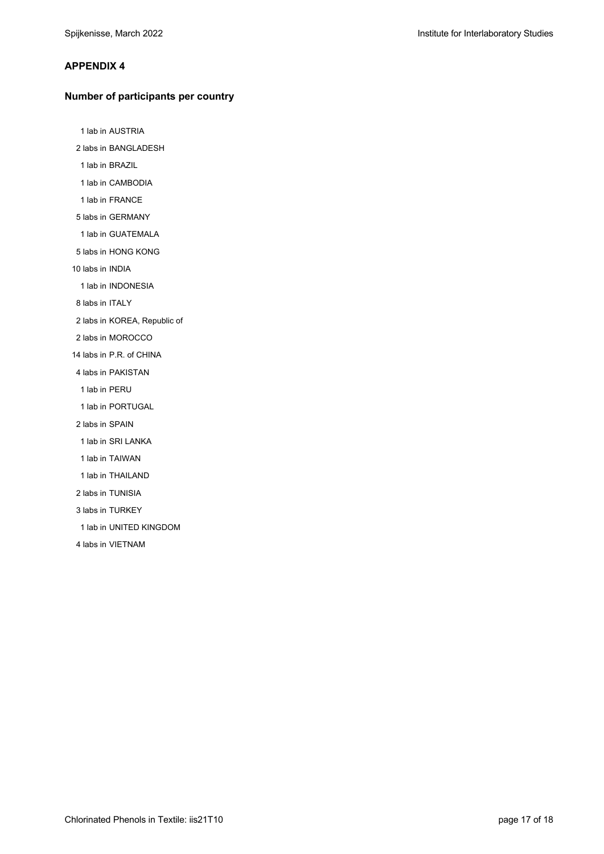#### **APPENDIX 4**

#### **Number of participants per country**

1 lab in AUSTRIA

2 labs in BANGLADESH

1 lab in BRAZIL

1 lab in CAMBODIA

1 lab in FRANCE

5 labs in GERMANY

1 lab in GUATEMALA

5 labs in HONG KONG

10 labs in INDIA

1 lab in INDONESIA

8 labs in ITALY

2 labs in KOREA, Republic of

2 labs in MOROCCO

14 labs in P.R. of CHINA

4 labs in PAKISTAN

1 lab in PERU

1 lab in PORTUGAL

2 labs in SPAIN

1 lab in SRI LANKA

1 lab in TAIWAN

1 lab in THAILAND

2 labs in TUNISIA

3 labs in TURKEY

1 lab in UNITED KINGDOM

4 labs in VIETNAM